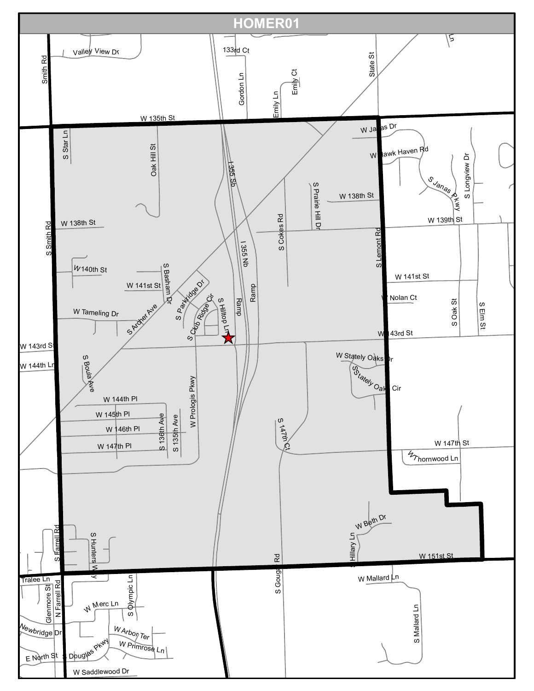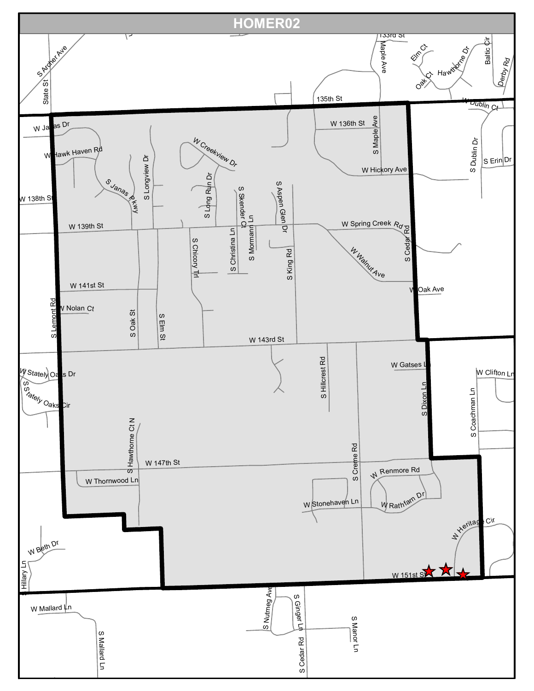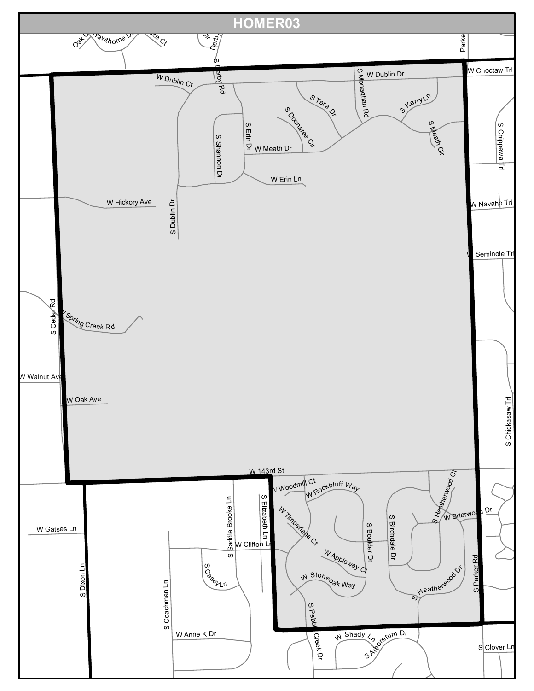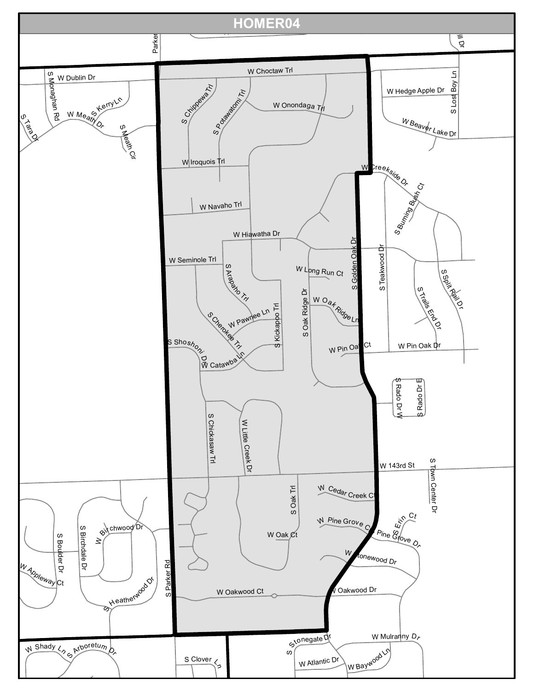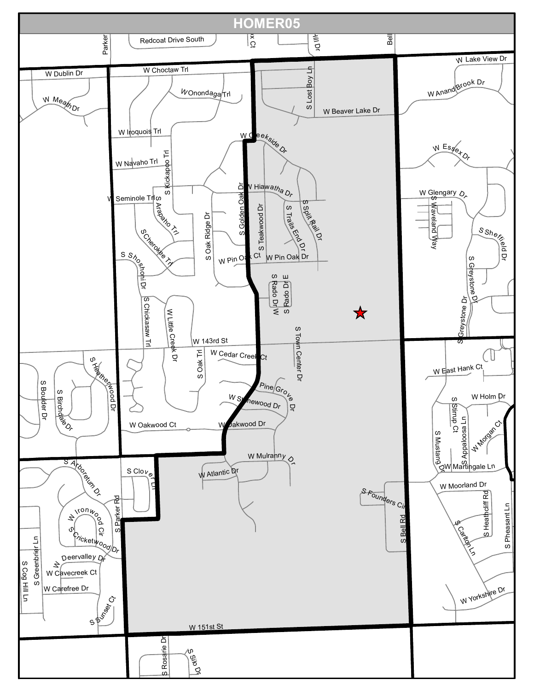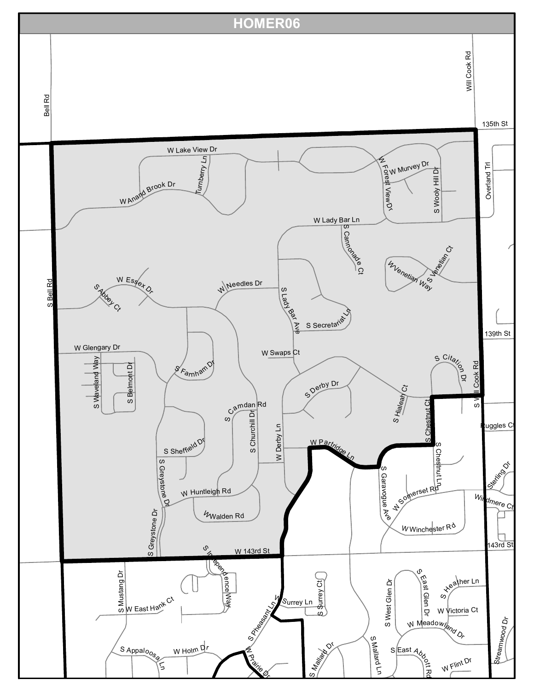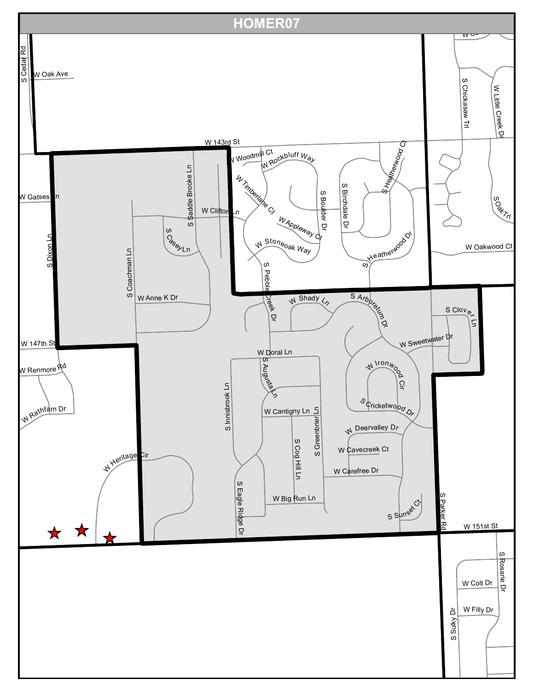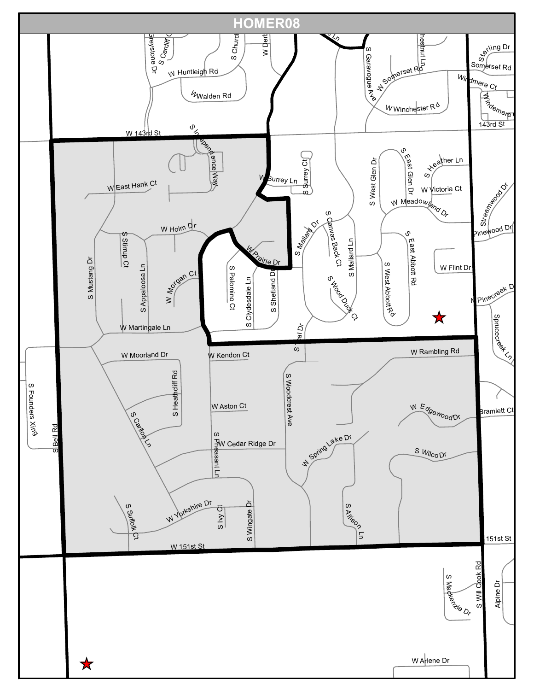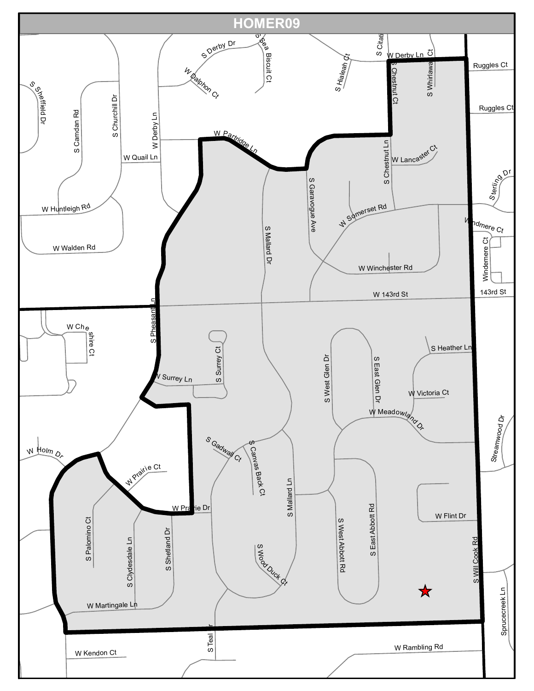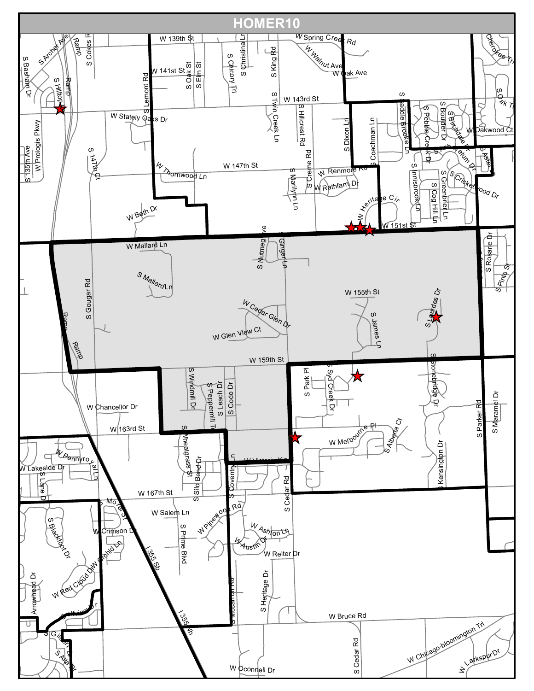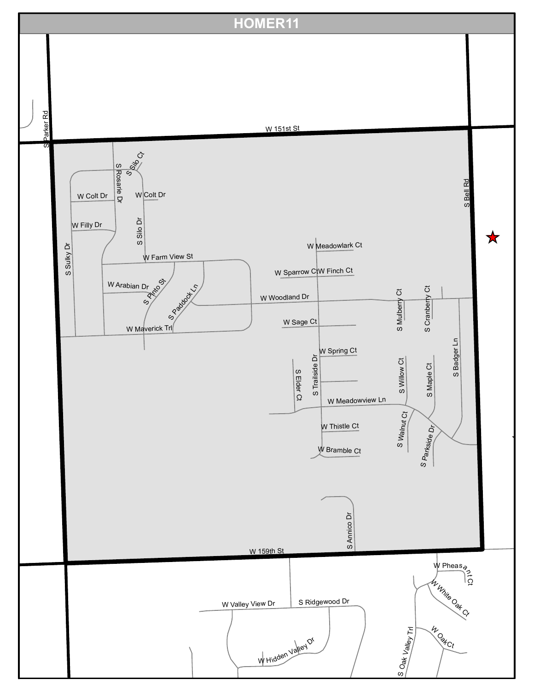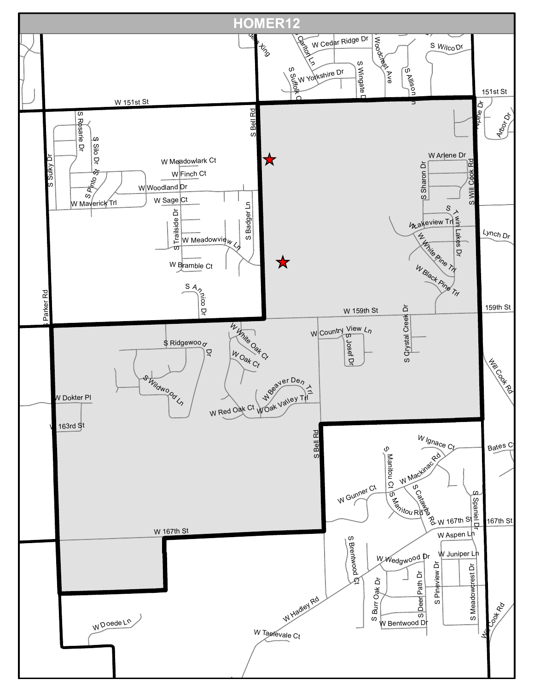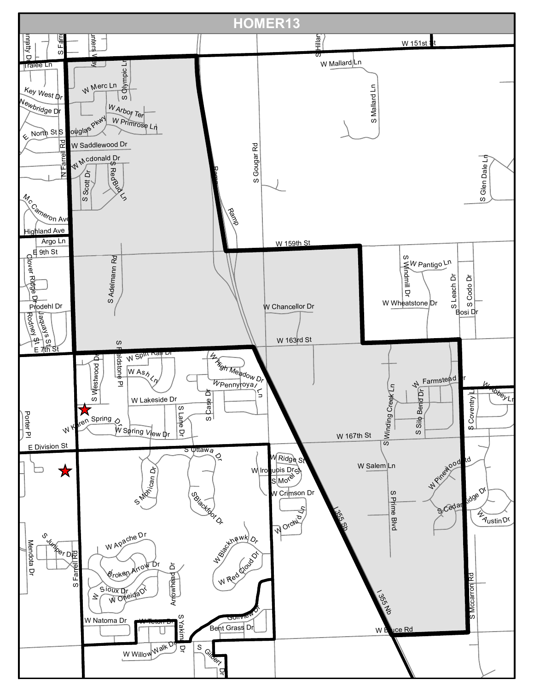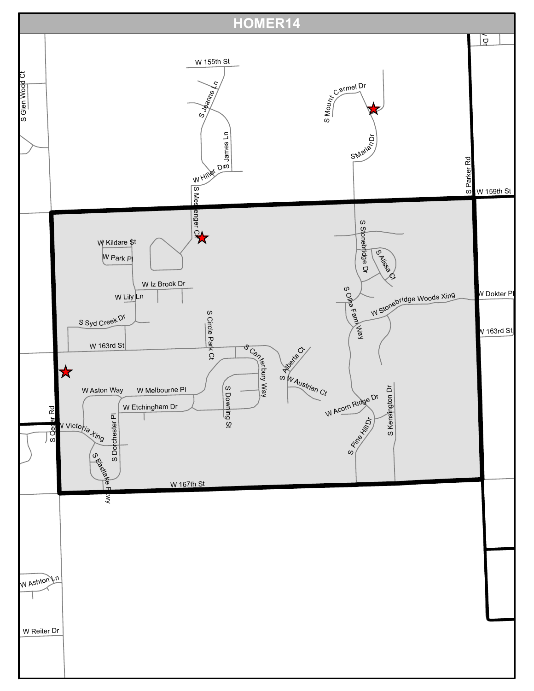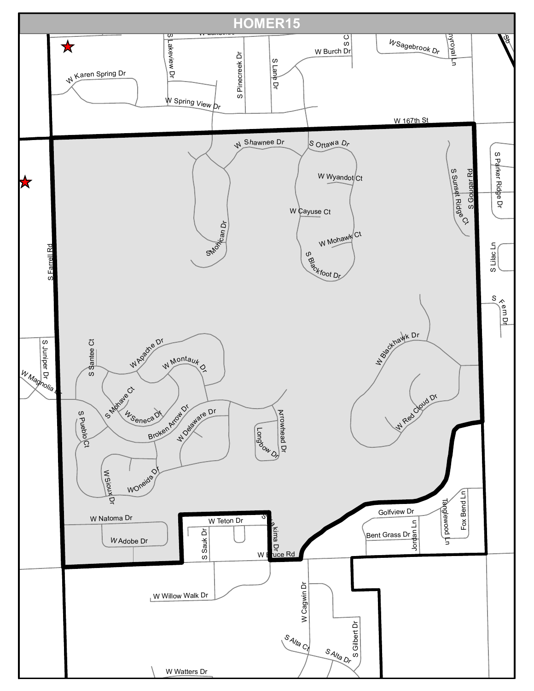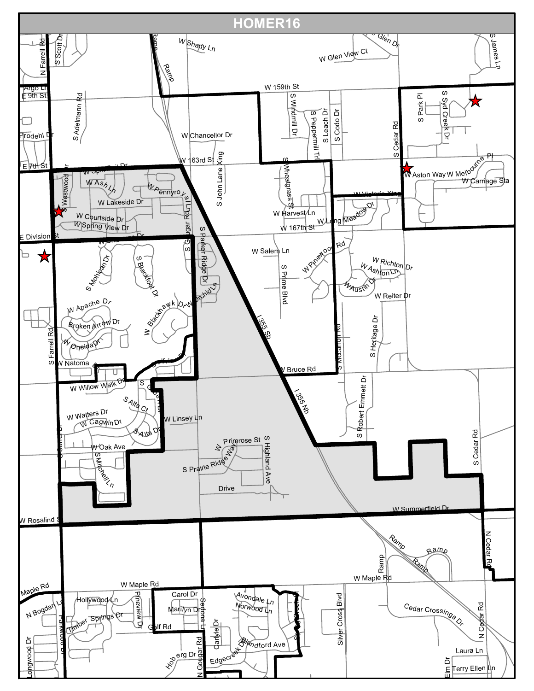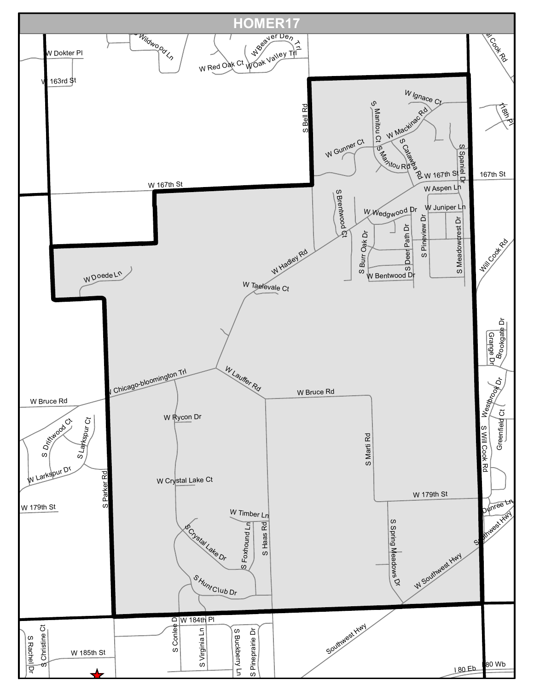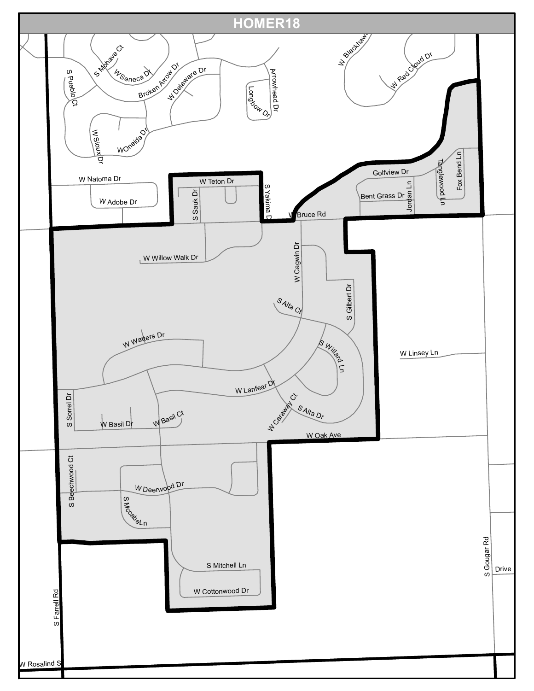